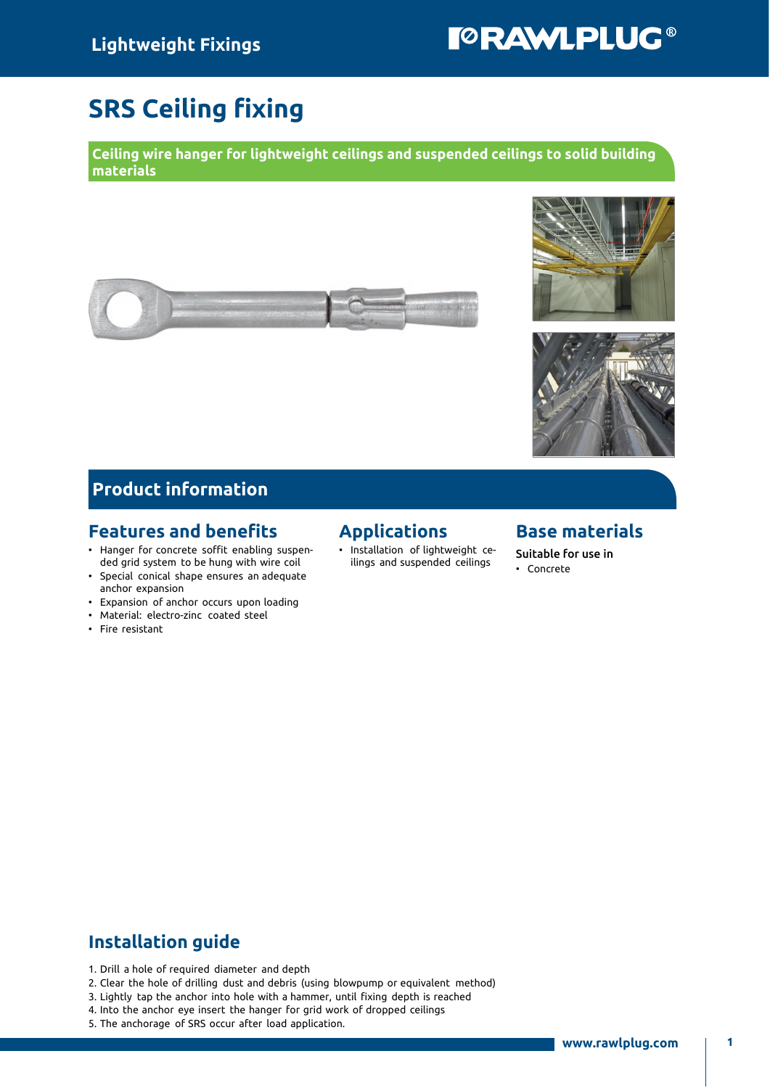# **TORAWLPLUG®**

## SRS Ceiling fixing

Ceiling wire hanger for lightweight ceilings and suspended ceilings to solid building materials







#### Product information

#### Features and benefits

- Hanger for concrete soffit enabling suspended grid system to be hung with wire coil
- Special conical shape ensures an adequate anchor expansion
- Expansion of anchor occurs upon loading
- Material: electro-zinc coated steel
- Fire resistant

#### Applications

• Installation of lightweight ceilings and suspended ceilings

#### Base materials

Suitable for use in • Concrete

#### Installation guide

- 1. Drill a hole of required diameter and depth
- 2. Clear the hole of drilling dust and debris (using blowpump or equivalent method)
- 3. Lightly tap the anchor into hole with a hammer, until fixing depth is reached
- 4. Into the anchor eye insert the hanger for grid work of dropped ceilings
- 5. The anchorage of SRS occur after load application.